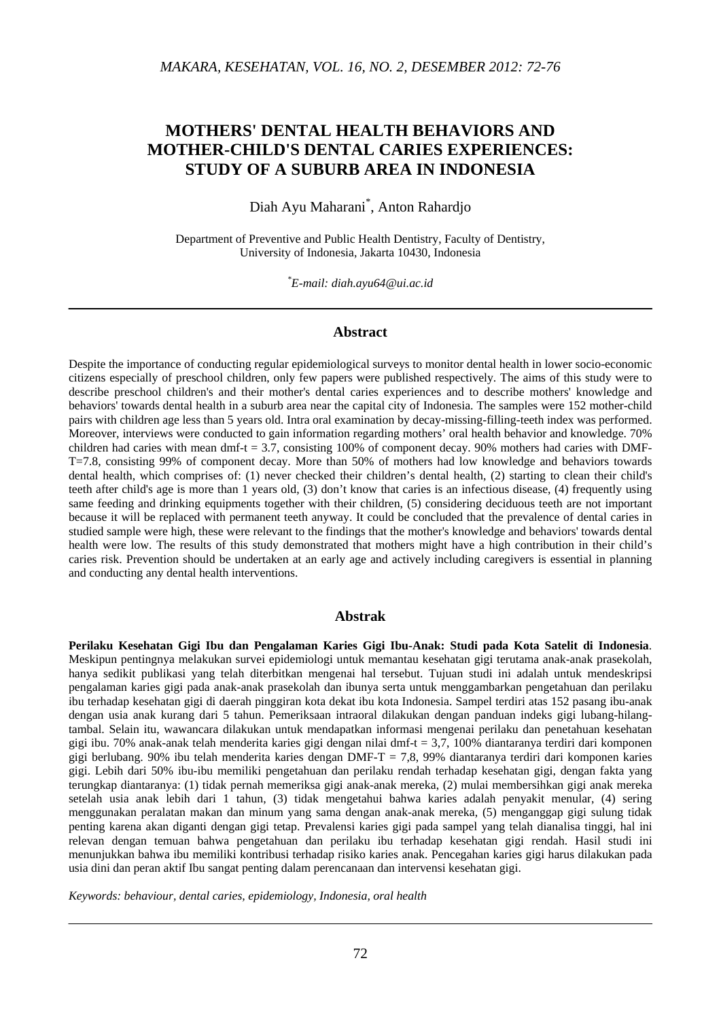# **MOTHERS' DENTAL HEALTH BEHAVIORS AND MOTHER-CHILD'S DENTAL CARIES EXPERIENCES: STUDY OF A SUBURB AREA IN INDONESIA**

Diah Ayu Maharani\* , Anton Rahardjo

Department of Preventive and Public Health Dentistry, Faculty of Dentistry, University of Indonesia, Jakarta 10430, Indonesia

*\* E-mail: diah.ayu64@ui.ac.id* 

#### **Abstract**

Despite the importance of conducting regular epidemiological surveys to monitor dental health in lower socio-economic citizens especially of preschool children, only few papers were published respectively. The aims of this study were to describe preschool children's and their mother's dental caries experiences and to describe mothers' knowledge and behaviors' towards dental health in a suburb area near the capital city of Indonesia. The samples were 152 mother-child pairs with children age less than 5 years old. Intra oral examination by decay-missing-filling-teeth index was performed. Moreover, interviews were conducted to gain information regarding mothers' oral health behavior and knowledge. 70% children had caries with mean dmf-t = 3.7, consisting 100% of component decay. 90% mothers had caries with DMF-T=7.8, consisting 99% of component decay. More than 50% of mothers had low knowledge and behaviors towards dental health, which comprises of: (1) never checked their children's dental health, (2) starting to clean their child's teeth after child's age is more than 1 years old, (3) don't know that caries is an infectious disease, (4) frequently using same feeding and drinking equipments together with their children, (5) considering deciduous teeth are not important because it will be replaced with permanent teeth anyway. It could be concluded that the prevalence of dental caries in studied sample were high, these were relevant to the findings that the mother's knowledge and behaviors' towards dental health were low. The results of this study demonstrated that mothers might have a high contribution in their child's caries risk. Prevention should be undertaken at an early age and actively including caregivers is essential in planning and conducting any dental health interventions.

# **Abstrak**

**Perilaku Kesehatan Gigi Ibu dan Pengalaman Karies Gigi Ibu-Anak: Studi pada Kota Satelit di Indonesia**. Meskipun pentingnya melakukan survei epidemiologi untuk memantau kesehatan gigi terutama anak-anak prasekolah, hanya sedikit publikasi yang telah diterbitkan mengenai hal tersebut. Tujuan studi ini adalah untuk mendeskripsi pengalaman karies gigi pada anak-anak prasekolah dan ibunya serta untuk menggambarkan pengetahuan dan perilaku ibu terhadap kesehatan gigi di daerah pinggiran kota dekat ibu kota Indonesia. Sampel terdiri atas 152 pasang ibu-anak dengan usia anak kurang dari 5 tahun. Pemeriksaan intraoral dilakukan dengan panduan indeks gigi lubang-hilangtambal. Selain itu, wawancara dilakukan untuk mendapatkan informasi mengenai perilaku dan penetahuan kesehatan gigi ibu. 70% anak-anak telah menderita karies gigi dengan nilai dmf-t = 3,7, 100% diantaranya terdiri dari komponen gigi berlubang. 90% ibu telah menderita karies dengan DMF-T = 7,8, 99% diantaranya terdiri dari komponen karies gigi. Lebih dari 50% ibu-ibu memiliki pengetahuan dan perilaku rendah terhadap kesehatan gigi, dengan fakta yang terungkap diantaranya: (1) tidak pernah memeriksa gigi anak-anak mereka, (2) mulai membersihkan gigi anak mereka setelah usia anak lebih dari 1 tahun, (3) tidak mengetahui bahwa karies adalah penyakit menular, (4) sering menggunakan peralatan makan dan minum yang sama dengan anak-anak mereka, (5) menganggap gigi sulung tidak penting karena akan diganti dengan gigi tetap. Prevalensi karies gigi pada sampel yang telah dianalisa tinggi, hal ini relevan dengan temuan bahwa pengetahuan dan perilaku ibu terhadap kesehatan gigi rendah. Hasil studi ini menunjukkan bahwa ibu memiliki kontribusi terhadap risiko karies anak. Pencegahan karies gigi harus dilakukan pada usia dini dan peran aktif Ibu sangat penting dalam perencanaan dan intervensi kesehatan gigi.

*Keywords: behaviour, dental caries, epidemiology, Indonesia, oral health*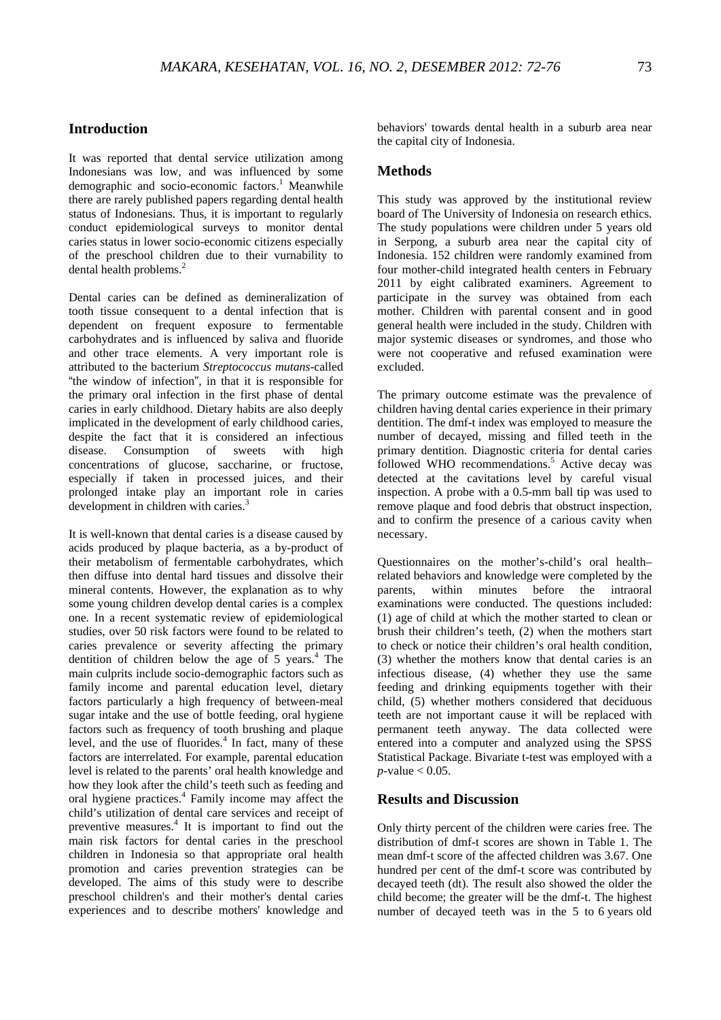# **Introduction**

It was reported that dental service utilization among Indonesians was low, and was influenced by some demographic and socio-economic factors.<sup>1</sup> Meanwhile there are rarely published papers regarding dental health status of Indonesians. Thus, it is important to regularly conduct epidemiological surveys to monitor dental caries status in lower socio-economic citizens especially of the preschool children due to their vurnability to dental health problems.<sup>2</sup>

Dental caries can be defined as demineralization of tooth tissue consequent to a dental infection that is dependent on frequent exposure to fermentable carbohydrates and is influenced by saliva and fluoride and other trace elements. A very important role is attributed to the bacterium *Streptococcus mutans*-called "the window of infection", in that it is responsible for the primary oral infection in the first phase of dental caries in early childhood. Dietary habits are also deeply implicated in the development of early childhood caries, despite the fact that it is considered an infectious disease. Consumption of sweets with high concentrations of glucose, saccharine, or fructose, especially if taken in processed juices, and their prolonged intake play an important role in caries development in children with caries.<sup>3</sup>

It is well-known that dental caries is a disease caused by acids produced by plaque bacteria, as a by-product of their metabolism of fermentable carbohydrates, which then diffuse into dental hard tissues and dissolve their mineral contents. However, the explanation as to why some young children develop dental caries is a complex one. In a recent systematic review of epidemiological studies, over 50 risk factors were found to be related to caries prevalence or severity affecting the primary dentition of children below the age of  $5$  years.<sup>4</sup> The main culprits include socio-demographic factors such as family income and parental education level, dietary factors particularly a high frequency of between-meal sugar intake and the use of bottle feeding, oral hygiene factors such as frequency of tooth brushing and plaque level, and the use of fluorides.<sup>4</sup> In fact, many of these factors are interrelated. For example, parental education level is related to the parents' oral health knowledge and how they look after the child's teeth such as feeding and oral hygiene practices.<sup>4</sup> Family income may affect the child's utilization of dental care services and receipt of preventive measures.<sup>4</sup> It is important to find out the main risk factors for dental caries in the preschool children in Indonesia so that appropriate oral health promotion and caries prevention strategies can be developed. The aims of this study were to describe preschool children's and their mother's dental caries experiences and to describe mothers' knowledge and behaviors' towards dental health in a suburb area near the capital city of Indonesia.

#### **Methods**

This study was approved by the institutional review board of The University of Indonesia on research ethics. The study populations were children under 5 years old in Serpong, a suburb area near the capital city of Indonesia. 152 children were randomly examined from four mother-child integrated health centers in February 2011 by eight calibrated examiners. Agreement to participate in the survey was obtained from each mother. Children with parental consent and in good general health were included in the study. Children with major systemic diseases or syndromes, and those who were not cooperative and refused examination were excluded.

The primary outcome estimate was the prevalence of children having dental caries experience in their primary dentition. The dmf-t index was employed to measure the number of decayed, missing and filled teeth in the primary dentition. Diagnostic criteria for dental caries followed WHO recommendations.<sup>5</sup> Active decay was detected at the cavitations level by careful visual inspection. A probe with a 0.5-mm ball tip was used to remove plaque and food debris that obstruct inspection, and to confirm the presence of a carious cavity when necessary.

Questionnaires on the mother's-child's oral health– related behaviors and knowledge were completed by the parents, within minutes before the intraoral examinations were conducted. The questions included: (1) age of child at which the mother started to clean or brush their children's teeth, (2) when the mothers start to check or notice their children's oral health condition, (3) whether the mothers know that dental caries is an infectious disease, (4) whether they use the same feeding and drinking equipments together with their child, (5) whether mothers considered that deciduous teeth are not important cause it will be replaced with permanent teeth anyway. The data collected were entered into a computer and analyzed using the SPSS Statistical Package. Bivariate t-test was employed with a  $p$ -value  $< 0.05$ .

# **Results and Discussion**

Only thirty percent of the children were caries free. The distribution of dmf-t scores are shown in Table 1. The mean dmf-t score of the affected children was 3.67. One hundred per cent of the dmf-t score was contributed by decayed teeth (dt). The result also showed the older the child become; the greater will be the dmf-t. The highest number of decayed teeth was in the 5 to 6 years old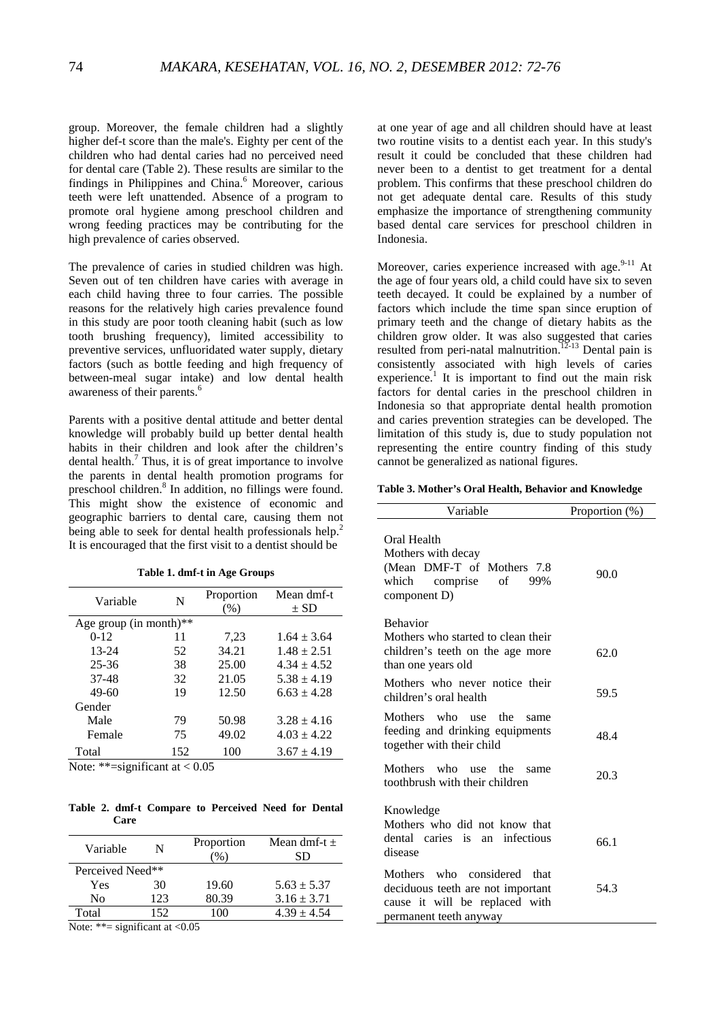group. Moreover, the female children had a slightly higher def-t score than the male's. Eighty per cent of the children who had dental caries had no perceived need for dental care (Table 2). These results are similar to the findings in Philippines and China.<sup>6</sup> Moreover, carious teeth were left unattended. Absence of a program to promote oral hygiene among preschool children and wrong feeding practices may be contributing for the high prevalence of caries observed.

The prevalence of caries in studied children was high. Seven out of ten children have caries with average in each child having three to four carries. The possible reasons for the relatively high caries prevalence found in this study are poor tooth cleaning habit (such as low tooth brushing frequency), limited accessibility to preventive services, unfluoridated water supply, dietary factors (such as bottle feeding and high frequency of between-meal sugar intake) and low dental health awareness of their parents.<sup>6</sup>

Parents with a positive dental attitude and better dental knowledge will probably build up better dental health habits in their children and look after the children's dental health.<sup>7</sup> Thus, it is of great importance to involve the parents in dental health promotion programs for preschool children.<sup>8</sup> In addition, no fillings were found. This might show the existence of economic and geographic barriers to dental care, causing them not being able to seek for dental health professionals help.<sup>2</sup> It is encouraged that the first visit to a dentist should be

| Variable               | N   | Proportion | Mean dmf-t      |  |
|------------------------|-----|------------|-----------------|--|
|                        |     | $(\%)$     | $\pm$ SD        |  |
| Age group (in month)** |     |            |                 |  |
| $0 - 12$               | 11  | 7,23       | $1.64 \pm 3.64$ |  |
| $13 - 24$              | 52  | 34.21      | $1.48 \pm 2.51$ |  |
| $25 - 36$              | 38  | 25.00      | $4.34 + 4.52$   |  |
| 37-48                  | 32  | 21.05      | $5.38 \pm 4.19$ |  |
| $49-60$                | 19  | 12.50      | $6.63 + 4.28$   |  |
| Gender                 |     |            |                 |  |
| Male                   | 79  | 50.98      | $3.28 \pm 4.16$ |  |
| Female                 | 75  | 49.02      | $4.03 \pm 4.22$ |  |
| Total                  | 152 | 100        | $3.67 \pm 4.19$ |  |

**Table 1. dmf-t in Age Groups** 

Note: \*\*=significant at  $< 0.05$ 

**Table 2. dmf-t Compare to Perceived Need for Dental Care** 

| Variable                          | N   | Proportion<br>$\%$ | Mean dmf-t $\pm$<br>SD |  |
|-----------------------------------|-----|--------------------|------------------------|--|
| Perceived Need**                  |     |                    |                        |  |
| Yes                               | 30  | 19.60              | $5.63 \pm 5.37$        |  |
| No                                | 123 | 80.39              | $3.16 \pm 3.71$        |  |
| Total                             | 152 | 100                | $4.39 \pm 4.54$        |  |
| Note: **= significant at $< 0.05$ |     |                    |                        |  |

at one year of age and all children should have at least two routine visits to a dentist each year. In this study's result it could be concluded that these children had never been to a dentist to get treatment for a dental problem. This confirms that these preschool children do not get adequate dental care. Results of this study emphasize the importance of strengthening community based dental care services for preschool children in Indonesia.

Moreover, caries experience increased with age. $9-11$  At the age of four years old, a child could have six to seven teeth decayed. It could be explained by a number of factors which include the time span since eruption of primary teeth and the change of dietary habits as the children grow older. It was also suggested that caries resulted from peri-natal malnutrition.<sup>12-13</sup> Dental pain is consistently associated with high levels of caries experience.<sup>1</sup> It is important to find out the main risk factors for dental caries in the preschool children in Indonesia so that appropriate dental health promotion and caries prevention strategies can be developed. The limitation of this study is, due to study population not representing the entire country finding of this study cannot be generalized as national figures.

#### **Table 3. Mother's Oral Health, Behavior and Knowledge**

| Variable                                                                                                                        | Proportion (%) |
|---------------------------------------------------------------------------------------------------------------------------------|----------------|
| Oral Health<br>Mothers with decay<br>(Mean DMF-T of Mothers 7.8)<br>which<br>comprise of<br>99%<br>component D)                 | 90.0           |
| <b>Behavior</b><br>Mothers who started to clean their<br>children's teeth on the age more<br>than one years old                 | 62.0           |
| Mothers who never notice their<br>children's oral health                                                                        | 59.5           |
| Mothers who<br>the<br>use<br>same<br>feeding and drinking equipments<br>together with their child                               | 48.4           |
| Mothers who use the<br>same<br>toothbrush with their children                                                                   | 20.3           |
| Knowledge<br>Mothers who did not know that<br>dental caries is an infectious<br>disease                                         | 66.1           |
| Mothers who considered<br>that<br>deciduous teeth are not important<br>cause it will be replaced with<br>permanent teeth anyway | 54.3           |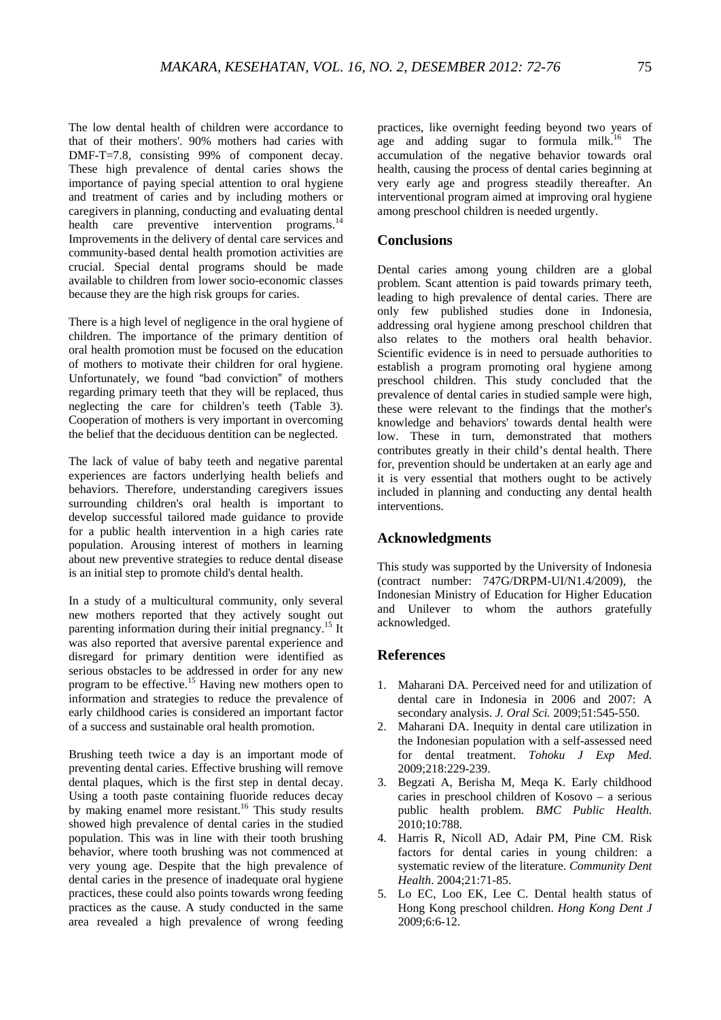The low dental health of children were accordance to that of their mothers'. 90% mothers had caries with DMF-T=7.8, consisting 99% of component decay. These high prevalence of dental caries shows the importance of paying special attention to oral hygiene and treatment of caries and by including mothers or caregivers in planning, conducting and evaluating dental health care preventive intervention programs.<sup>14</sup> Improvements in the delivery of dental care services and community-based dental health promotion activities are crucial. Special dental programs should be made available to children from lower socio-economic classes because they are the high risk groups for caries.

There is a high level of negligence in the oral hygiene of children. The importance of the primary dentition of oral health promotion must be focused on the education of mothers to motivate their children for oral hygiene. Unfortunately, we found "bad conviction" of mothers regarding primary teeth that they will be replaced, thus neglecting the care for children's teeth (Table 3). Cooperation of mothers is very important in overcoming the belief that the deciduous dentition can be neglected.

The lack of value of baby teeth and negative parental experiences are factors underlying health beliefs and behaviors. Therefore, understanding caregivers issues surrounding children's oral health is important to develop successful tailored made guidance to provide for a public health intervention in a high caries rate population. Arousing interest of mothers in learning about new preventive strategies to reduce dental disease is an initial step to promote child's dental health.

In a study of a multicultural community, only several new mothers reported that they actively sought out parenting information during their initial pregnancy.15 It was also reported that aversive parental experience and disregard for primary dentition were identified as serious obstacles to be addressed in order for any new program to be effective.<sup>15</sup> Having new mothers open to information and strategies to reduce the prevalence of early childhood caries is considered an important factor of a success and sustainable oral health promotion.

Brushing teeth twice a day is an important mode of preventing dental caries. Effective brushing will remove dental plaques, which is the first step in dental decay. Using a tooth paste containing fluoride reduces decay by making enamel more resistant.<sup>16</sup> This study results showed high prevalence of dental caries in the studied population. This was in line with their tooth brushing behavior, where tooth brushing was not commenced at very young age. Despite that the high prevalence of dental caries in the presence of inadequate oral hygiene practices, these could also points towards wrong feeding practices as the cause. A study conducted in the same area revealed a high prevalence of wrong feeding practices, like overnight feeding beyond two years of age and adding sugar to formula milk.<sup>16</sup> The accumulation of the negative behavior towards oral health, causing the process of dental caries beginning at very early age and progress steadily thereafter. An interventional program aimed at improving oral hygiene among preschool children is needed urgently.

### **Conclusions**

Dental caries among young children are a global problem. Scant attention is paid towards primary teeth, leading to high prevalence of dental caries. There are only few published studies done in Indonesia, addressing oral hygiene among preschool children that also relates to the mothers oral health behavior. Scientific evidence is in need to persuade authorities to establish a program promoting oral hygiene among preschool children. This study concluded that the prevalence of dental caries in studied sample were high, these were relevant to the findings that the mother's knowledge and behaviors' towards dental health were low. These in turn, demonstrated that mothers contributes greatly in their child's dental health. There for, prevention should be undertaken at an early age and it is very essential that mothers ought to be actively included in planning and conducting any dental health interventions.

# **Acknowledgments**

This study was supported by the University of Indonesia (contract number: 747G/DRPM-UI/N1.4/2009), the Indonesian Ministry of Education for Higher Education and Unilever to whom the authors gratefully acknowledged.

#### **References**

- 1. Maharani DA. Perceived need for and utilization of dental care in Indonesia in 2006 and 2007: A secondary analysis. *J. Oral Sci.* 2009;51:545-550.
- 2. Maharani DA. Inequity in dental care utilization in the Indonesian population with a self-assessed need for dental treatment. *Tohoku J Exp Med.* 2009;218:229-239.
- 3. Begzati A, Berisha M, Meqa K. Early childhood caries in preschool children of Kosovo – a serious public health problem. *BMC Public Health*. 2010;10:788.
- 4. Harris R, Nicoll AD, Adair PM, Pine CM. Risk factors for dental caries in young children: a systematic review of the literature. *Community Dent Health*. 2004;21:71-85.
- 5. Lo EC, Loo EK, Lee C. Dental health status of Hong Kong preschool children. *Hong Kong Dent J* 2009;6:6-12.